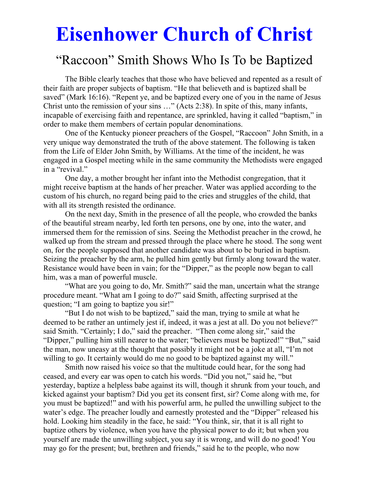# **Eisenhower Church of Christ**

# "Raccoon" Smith Shows Who Is To be Baptized

 The Bible clearly teaches that those who have believed and repented as a result of their faith are proper subjects of baptism. "He that believeth and is baptized shall be saved" (Mark 16:16). "Repent ye, and be baptized every one of you in the name of Jesus Christ unto the remission of your sins …" (Acts 2:38). In spite of this, many infants, incapable of exercising faith and repentance, are sprinkled, having it called "baptism," in order to make them members of certain popular denominations.

 One of the Kentucky pioneer preachers of the Gospel, "Raccoon" John Smith, in a very unique way demonstrated the truth of the above statement. The following is taken from the Life of Elder John Smith, by Williams. At the time of the incident, he was engaged in a Gospel meeting while in the same community the Methodists were engaged in a "revival."

 One day, a mother brought her infant into the Methodist congregation, that it might receive baptism at the hands of her preacher. Water was applied according to the custom of his church, no regard being paid to the cries and struggles of the child, that with all its strength resisted the ordinance.

 On the next day, Smith in the presence of all the people, who crowded the banks of the beautiful stream nearby, led forth ten persons, one by one, into the water, and immersed them for the remission of sins. Seeing the Methodist preacher in the crowd, he walked up from the stream and pressed through the place where he stood. The song went on, for the people supposed that another candidate was about to be buried in baptism. Seizing the preacher by the arm, he pulled him gently but firmly along toward the water. Resistance would have been in vain; for the "Dipper," as the people now began to call him, was a man of powerful muscle.

 "What are you going to do, Mr. Smith?" said the man, uncertain what the strange procedure meant. "What am I going to do?" said Smith, affecting surprised at the question; "I am going to baptize you sir!"

 "But I do not wish to be baptized," said the man, trying to smile at what he deemed to be rather an untimely jest if, indeed, it was a jest at all. Do you not believe?" said Smith. "Certainly; I do," said the preacher. "Then come along sir," said the "Dipper," pulling him still nearer to the water; "believers must be baptized!" "But," said the man, now uneasy at the thought that possibly it might not be a joke at all, "I'm not willing to go. It certainly would do me no good to be baptized against my will."

 Smith now raised his voice so that the multitude could hear, for the song had ceased, and every ear was open to catch his words. "Did you not," said he, "but yesterday, baptize a helpless babe against its will, though it shrunk from your touch, and kicked against your baptism? Did you get its consent first, sir? Come along with me, for you must be baptized!" and with his powerful arm, he pulled the unwilling subject to the water's edge. The preacher loudly and earnestly protested and the "Dipper" released his hold. Looking him steadily in the face, he said: "You think, sir, that it is all right to baptize others by violence, when you have the physical power to do it; but when you yourself are made the unwilling subject, you say it is wrong, and will do no good! You may go for the present; but, brethren and friends," said he to the people, who now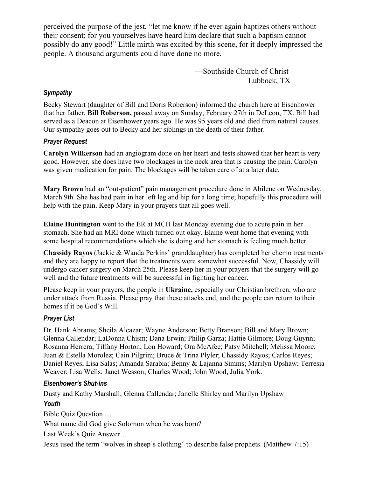perceived the purpose of the jest, "let me know if he ever again baptizes others without their consent; for you yourselves have heard him declare that such a baptism cannot possibly do any good!" Little mirth was excited by this scene, for it deeply impressed the people. A thousand arguments could have done no more.

> —Southside Church of Christ Lubbock, TX

# *Sympathy*

Becky Stewart (daughter of Bill and Doris Roberson) informed the church here at Eisenhower that her father, **Bill Roberson,** passed away on Sunday, February 27th in DeLeon, TX. Bill had served as a Deacon at Eisenhower years ago. He was 95 years old and died from natural causes. Our sympathy goes out to Becky and her siblings in the death of their father.

# *Prayer Request*

**Carolyn Wilkerson** had an angiogram done on her heart and tests showed that her heart is very good. However, she does have two blockages in the neck area that is causing the pain. Carolyn was given medication for pain. The blockages will be taken care of at a later date.

**Mary Brown** had an "out-patient" pain management procedure done in Abilene on Wednesday, March 9th. She has had pain in her left leg and hip for a long time; hopefully this procedure will help with the pain. Keep Mary in your prayers that all goes well.

**Elaine Huntington** went to the ER at MCH last Monday evening due to acute pain in her stomach. She had an MRI done which turned out okay. Elaine went home that evening with some hospital recommendations which she is doing and her stomach is feeling much better.

**Chassidy Rayos** (Jackie & Wanda Perkins' granddaughter) has completed her chemo treatments and they are happy to report that the treatments were somewhat successful. Now, Chassidy will undergo cancer surgery on March 25th. Please keep her in your prayers that the surgery will go well and the future treatments will be successful in fighting her cancer.

Please keep in your prayers, the people in **Ukraine,** especially our Christian brethren, who are under attack from Russia. Please pray that these attacks end, and the people can return to their homes if it be God's Will.

# *Prayer List*

Dr. Hank Abrams; Sheila Alcazar; Wayne Anderson; Betty Branson; Bill and Mary Brown; Glenna Callendar; LaDonna Chism; Dana Erwin; Philip Garza; Hattie Gilmore; Doug Guynn; Rosanna Herrera; Tiffany Horton; Lon Howard; Ora McAfee; Patsy Mitchell; Melissa Moore; Juan & Estella Morolez; Cain Pilgrim; Bruce & Trina Plyler; Chassidy Rayos; Carlos Reyes; Daniel Reyes; Lisa Salas; Amanda Sarabia; Benny & Lajanna Simms; Marilyn Upshaw; Terresia Weaver; Lisa Wells; Janet Wesson; Charles Wood; John Wood, Julia York.

## *Eisenhower's Shut-ins*

Dusty and Kathy Marshall; Glenna Callendar; Janelle Shirley and Marilyn Upshaw *Youth* 

Bible Quiz Question …

What name did God give Solomon when he was born?

Last Week's Quiz Answer…

Jesus used the term "wolves in sheep's clothing" to describe false prophets. (Matthew 7:15)